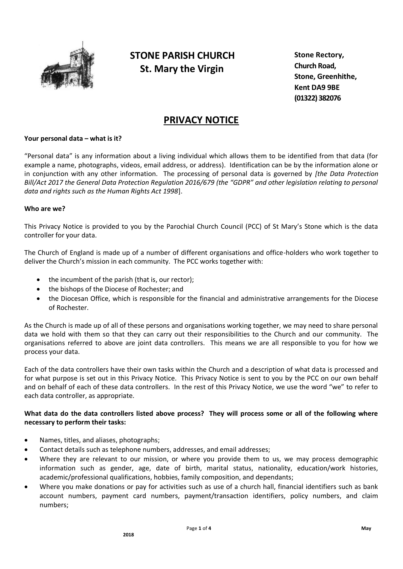

# **STONE PARISH CHURCH St. Mary the Virgin**

**Stone Rectory, Church Road, Stone, Greenhithe, Kent DA9 9BE (01322) 382076**

## **PRIVACY NOTICE**

## **Your personal data – what is it?**

"Personal data" is any information about a living individual which allows them to be identified from that data (for example a name, photographs, videos, email address, or address). Identification can be by the information alone or in conjunction with any other information. The processing of personal data is governed by *[the Data Protection Bill/Act 2017 the General Data Protection Regulation 2016/679 (the "GDPR" and other legislation relating to personal data and rights such as the Human Rights Act 1998*].

## **Who are we?**

This Privacy Notice is provided to you by the Parochial Church Council (PCC) of St Mary's Stone which is the data controller for your data.

The Church of England is made up of a number of different organisations and office-holders who work together to deliver the Church's mission in each community. The PCC works together with:

- the incumbent of the parish (that is, our rector);
- the bishops of the Diocese of Rochester; and
- the Diocesan Office, which is responsible for the financial and administrative arrangements for the Diocese of Rochester.

As the Church is made up of all of these persons and organisations working together, we may need to share personal data we hold with them so that they can carry out their responsibilities to the Church and our community. The organisations referred to above are joint data controllers. This means we are all responsible to you for how we process your data.

Each of the data controllers have their own tasks within the Church and a description of what data is processed and for what purpose is set out in this Privacy Notice. This Privacy Notice is sent to you by the PCC on our own behalf and on behalf of each of these data controllers. In the rest of this Privacy Notice, we use the word "we" to refer to each data controller, as appropriate.

## **What data do the data controllers listed above process? They will process some or all of the following where necessary to perform their tasks:**

- Names, titles, and aliases, photographs;
- Contact details such as telephone numbers, addresses, and email addresses;
- Where they are relevant to our mission, or where you provide them to us, we may process demographic information such as gender, age, date of birth, marital status, nationality, education/work histories, academic/professional qualifications, hobbies, family composition, and dependants;
- Where you make donations or pay for activities such as use of a church hall, financial identifiers such as bank account numbers, payment card numbers, payment/transaction identifiers, policy numbers, and claim numbers;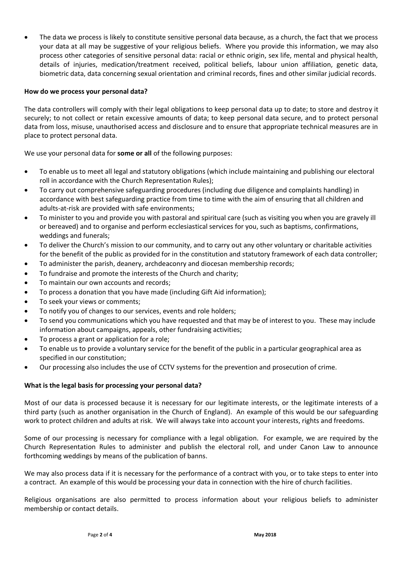The data we process is likely to constitute sensitive personal data because, as a church, the fact that we process your data at all may be suggestive of your religious beliefs. Where you provide this information, we may also process other categories of sensitive personal data: racial or ethnic origin, sex life, mental and physical health, details of injuries, medication/treatment received, political beliefs, labour union affiliation, genetic data, biometric data, data concerning sexual orientation and criminal records, fines and other similar judicial records.

## **How do we process your personal data?**

The data controllers will comply with their legal obligations to keep personal data up to date; to store and destroy it securely; to not collect or retain excessive amounts of data; to keep personal data secure, and to protect personal data from loss, misuse, unauthorised access and disclosure and to ensure that appropriate technical measures are in place to protect personal data.

We use your personal data for **some or all** of the following purposes:

- To enable us to meet all legal and statutory obligations (which include maintaining and publishing our electoral roll in accordance with the Church Representation Rules);
- To carry out comprehensive safeguarding procedures (including due diligence and complaints handling) in accordance with best safeguarding practice from time to time with the aim of ensuring that all children and adults-at-risk are provided with safe environments;
- To minister to you and provide you with pastoral and spiritual care (such as visiting you when you are gravely ill or bereaved) and to organise and perform ecclesiastical services for you, such as baptisms, confirmations, weddings and funerals;
- To deliver the Church's mission to our community, and to carry out any other voluntary or charitable activities for the benefit of the public as provided for in the constitution and statutory framework of each data controller;
- To administer the parish, deanery, archdeaconry and diocesan membership records;
- To fundraise and promote the interests of the Church and charity;
- To maintain our own accounts and records;
- To process a donation that you have made (including Gift Aid information);
- To seek your views or comments;
- To notify you of changes to our services, events and role holders;
- To send you communications which you have requested and that may be of interest to you. These may include information about campaigns, appeals, other fundraising activities;
- To process a grant or application for a role;
- To enable us to provide a voluntary service for the benefit of the public in a particular geographical area as specified in our constitution;
- Our processing also includes the use of CCTV systems for the prevention and prosecution of crime.

## **What is the legal basis for processing your personal data?**

Most of our data is processed because it is necessary for our legitimate interests, or the legitimate interests of a third party (such as another organisation in the Church of England). An example of this would be our safeguarding work to protect children and adults at risk. We will always take into account your interests, rights and freedoms.

Some of our processing is necessary for compliance with a legal obligation. For example, we are required by the Church Representation Rules to administer and publish the electoral roll, and under Canon Law to announce forthcoming weddings by means of the publication of banns.

We may also process data if it is necessary for the performance of a contract with you, or to take steps to enter into a contract. An example of this would be processing your data in connection with the hire of church facilities.

Religious organisations are also permitted to process information about your religious beliefs to administer membership or contact details.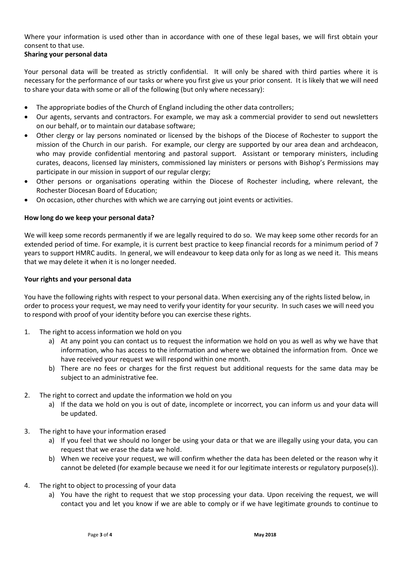Where your information is used other than in accordance with one of these legal bases, we will first obtain your consent to that use.

## **Sharing your personal data**

Your personal data will be treated as strictly confidential. It will only be shared with third parties where it is necessary for the performance of our tasks or where you first give us your prior consent. It is likely that we will need to share your data with some or all of the following (but only where necessary):

- The appropriate bodies of the Church of England including the other data controllers;
- Our agents, servants and contractors. For example, we may ask a commercial provider to send out newsletters on our behalf, or to maintain our database software;
- Other clergy or lay persons nominated or licensed by the bishops of the Diocese of Rochester to support the mission of the Church in our parish. For example, our clergy are supported by our area dean and archdeacon, who may provide confidential mentoring and pastoral support. Assistant or temporary ministers, including curates, deacons, licensed lay ministers, commissioned lay ministers or persons with Bishop's Permissions may participate in our mission in support of our regular clergy;
- Other persons or organisations operating within the Diocese of Rochester including, where relevant, the Rochester Diocesan Board of Education;
- On occasion, other churches with which we are carrying out joint events or activities.

## **How long do we keep your personal data?**

We will keep some records permanently if we are legally required to do so. We may keep some other records for an extended period of time. For example, it is current best practice to keep financial records for a minimum period of 7 years to support HMRC audits. In general, we will endeavour to keep data only for as long as we need it. This means that we may delete it when it is no longer needed.

## **Your rights and your personal data**

You have the following rights with respect to your personal data. When exercising any of the rights listed below, in order to process your request, we may need to verify your identity for your security. In such cases we will need you to respond with proof of your identity before you can exercise these rights.

- 1. The right to access information we hold on you
	- a) At any point you can contact us to request the information we hold on you as well as why we have that information, who has access to the information and where we obtained the information from. Once we have received your request we will respond within one month.
	- b) There are no fees or charges for the first request but additional requests for the same data may be subject to an administrative fee.
- 2. The right to correct and update the information we hold on you
	- a) If the data we hold on you is out of date, incomplete or incorrect, you can inform us and your data will be updated.
- 3. The right to have your information erased
	- a) If you feel that we should no longer be using your data or that we are illegally using your data, you can request that we erase the data we hold.
	- b) When we receive your request, we will confirm whether the data has been deleted or the reason why it cannot be deleted (for example because we need it for our legitimate interests or regulatory purpose(s)).
- 4. The right to object to processing of your data
	- a) You have the right to request that we stop processing your data. Upon receiving the request, we will contact you and let you know if we are able to comply or if we have legitimate grounds to continue to